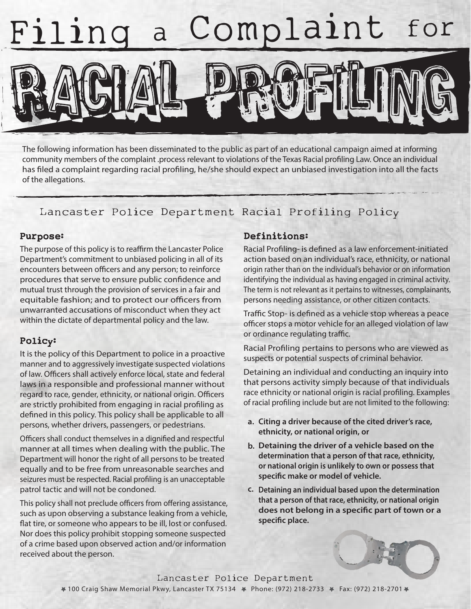

The following information has been disseminated to the public as part of an educational campaign aimed at informing community members of the complaint .process relevant to violations of the Texas Racial profiling Law. Once an individual has filed a complaint regarding racial profiling, he/she should expect an unbiased investigation into all the facts of the allegations.

## Lancaster Police Department Racial Profiling Policy

#### Purpose:

The purpose of this policy is to reaffirm the Lancaster Police Department's commitment to unbiased policing in all of its encounters between officers and any person; to reinforce procedures that serve to ensure public confidence and mutual trust through the provision of services in a fair and equitable fashion; and to protect our officers from unwarranted accusations of misconduct when they act within the dictate of departmental policy and the law.

### Policy:

It is the policy of this Department to police in a proactive manner and to aggressively investigate suspected violations of law. Officers shall actively enforce local, state and federal laws in a responsible and professional manner without regard to race, gender, ethnicity, or national origin. Officers are strictly prohibited from engaging in racial profiling as defined in this policy. This policy shall be applicable to all persons, whether drivers, passengers, or pedestrians.

Officers shall conduct themselves in a dignified and respectful manner at all times when dealing with the public. The Department will honor the right of all persons to be treated equally and to be free from unreasonable searches and seizures must be respected. Racial profiling is an unacceptable patrol tactic and will not be condoned.

This policy shall not preclude officers from offering assistance, such as upon observing a substance leaking from a vehicle, flat tire, or someone who appears to be ill, lost or confused. Nor does this policy prohibit stopping someone suspected of a crime based upon observed action and/or information received about the person.

### Definitions:

Racial Profiling- is defined as a law enforcement-initiated action based on an individual's race, ethnicity, or national origin rather than on the individual's behavior or on information identifying the individual as having engaged in criminal activity. The term is not relevant as it pertains to witnesses, complainants, persons needing assistance, or other citizen contacts.

Traffic Stop- is defined as a vehicle stop whereas a peace officer stops a motor vehicle for an alleged violation of law or ordinance regulating traffic.

Racial Profiling pertains to persons who are viewed as suspects or potential suspects of criminal behavior.

Detaining an individual and conducting an inquiry into that persons activity simply because of that individuals race ethnicity or national origin is racial profiling. Examples of racial profiling include but are not limited to the following:

- **Citing a driver because of the cited driver's race, a. ethnicity, or national origin, or**
- **Detaining the driver of a vehicle based on the b. determination that a person of that race, ethnicity, or national origin is unlikely to own or possess that** specific make or model of vehicle.
- **Detaining an individual based upon the determination c. that a person of that race, ethnicity, or national origin** does not belong in a specific part of town or a specific place.